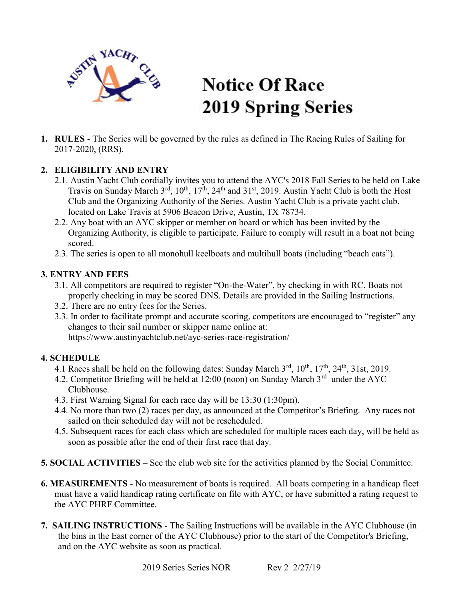

# **Notice Of Race 2019 Spring Series**

1. RULES - The Series will be governed by the rules as defined in The Racing Rules of Sailing for 2017-2020, (RRS).

## 2. ELIGIBILITY AND ENTRY

- 2.1. Austin Yacht Club cordially invites you to attend the AYC's 2018 Fall Series to be held on Lake Travis on Sunday March  $3^{rd}$ ,  $10^{th}$ ,  $17^{th}$ ,  $24^{th}$  and  $31^{st}$ , 2019. Austin Yacht Club is both the Host Club and the Organizing Authority of the Series. Austin Yacht Club is a private yacht club, located on Lake Travis at 5906 Beacon Drive, Austin, TX 78734.
- 2.2. Any boat with an AYC skipper or member on board or which has been invited by the Organizing Authority, is eligible to participate. Failure to comply will result in a boat not being scored.
- 2.3. The series is open to all monohull keelboats and multihull boats (including "beach cats").

### 3. ENTRY AND FEES

- 3.1. All competitors are required to register "On-the-Water", by checking in with RC. Boats not properly checking in may be scored DNS. Details are provided in the Sailing Instructions.
- 3.2. There are no entry fees for the Series.
- 3.3. In order to facilitate prompt and accurate scoring, competitors are encouraged to "register" any changes to their sail number or skipper name online at: https://www.austinyachtclub.net/ayc-series-race-registration/

#### 4. SCHEDULE

- 4.1 Races shall be held on the following dates: Sunday March 3<sup>rd</sup>, 10<sup>th</sup>, 17<sup>th</sup>, 24<sup>th</sup>, 31st, 2019.
- 4.2. Competitor Briefing will be held at 12:00 (noon) on Sunday March 3rd under the AYC Clubhouse.
- 4.3. First Warning Signal for each race day will be 13:30 (1:30pm).
- 4.4. No more than two (2) races per day, as announced at the Competitor's Briefing. Any races not sailed on their scheduled day will not be rescheduled.
- 4.5. Subsequent races for each class which are scheduled for multiple races each day, will be held as soon as possible after the end of their first race that day.
- 5. SOCIAL ACTIVITIES See the club web site for the activities planned by the Social Committee.
- 6. MEASUREMENTS No measurement of boats is required. All boats competing in a handicap fleet must have a valid handicap rating certificate on file with AYC, or have submitted a rating request to the AYC PHRF Committee.
- 7. SAILING INSTRUCTIONS The Sailing Instructions will be available in the AYC Clubhouse (in the bins in the East corner of the AYC Clubhouse) prior to the start of the Competitor's Briefing, and on the AYC website as soon as practical.